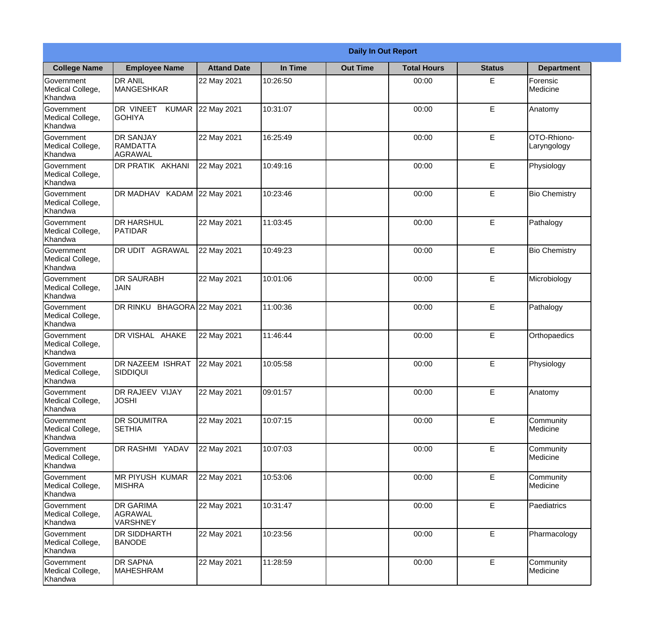|                                                  | <b>Daily In Out Report</b>                     |                    |          |                 |                    |               |                            |
|--------------------------------------------------|------------------------------------------------|--------------------|----------|-----------------|--------------------|---------------|----------------------------|
| <b>College Name</b>                              | <b>Employee Name</b>                           | <b>Attand Date</b> | In Time  | <b>Out Time</b> | <b>Total Hours</b> | <b>Status</b> | <b>Department</b>          |
| Government<br>Medical College,<br>Khandwa        | <b>DR ANIL</b><br><b>MANGESHKAR</b>            | 22 May 2021        | 10:26:50 |                 | 00:00              | E             | Forensic<br>Medicine       |
| Government<br>Medical College,<br>Khandwa        | DR VINEET<br><b>KUMAR</b><br><b>GOHIYA</b>     | 22 May 2021        | 10:31:07 |                 | 00:00              | E             | Anatomy                    |
| <b>Government</b><br>Medical College,<br>Khandwa | <b>DR SANJAY</b><br>RAMDATTA<br><b>AGRAWAL</b> | 22 May 2021        | 16:25:49 |                 | 00:00              | E             | OTO-Rhiono-<br>Laryngology |
| Government<br>Medical College,<br>Khandwa        | DR PRATIK AKHANI                               | 22 May 2021        | 10:49:16 |                 | 00:00              | E             | Physiology                 |
| Government<br>Medical College,<br>Khandwa        | DR MADHAV KADAM                                | 22 May 2021        | 10:23:46 |                 | 00:00              | E             | <b>Bio Chemistry</b>       |
| Government<br>Medical College,<br>Khandwa        | <b>DR HARSHUL</b><br><b>PATIDAR</b>            | 22 May 2021        | 11:03:45 |                 | 00:00              | E             | Pathalogy                  |
| Government<br>Medical College,<br>Khandwa        | DR UDIT AGRAWAL                                | 22 May 2021        | 10:49:23 |                 | 00:00              | E             | <b>Bio Chemistry</b>       |
| Government<br>Medical College,<br>Khandwa        | <b>DR SAURABH</b><br><b>JAIN</b>               | 22 May 2021        | 10:01:06 |                 | 00:00              | E             | Microbiology               |
| Government<br>Medical College,<br>Khandwa        | DR RINKU BHAGORA 22 May 2021                   |                    | 11:00:36 |                 | 00:00              | E             | Pathalogy                  |
| Government<br>Medical College,<br>Khandwa        | DR VISHAL AHAKE                                | 22 May 2021        | 11:46:44 |                 | 00:00              | E             | Orthopaedics               |
| Government<br>Medical College,<br>Khandwa        | DR NAZEEM ISHRAT<br>SIDDIQUI                   | 22 May 2021        | 10:05:58 |                 | 00:00              | E             | Physiology                 |
| Government<br>Medical College,<br>Khandwa        | DR RAJEEV VIJAY<br><b>JOSHI</b>                | 22 May 2021        | 09:01:57 |                 | 00:00              | E             | Anatomy                    |
| Government<br>Medical College,<br>Khandwa        | <b>DR SOUMITRA</b><br><b>SETHIA</b>            | 22 May 2021        | 10:07:15 |                 | 00:00              | E             | Community<br>Medicine      |
| Government<br>Medical College,<br>Khandwa        | DR RASHMI YADAV                                | 22 May 2021        | 10:07:03 |                 | 00:00              | E             | Community<br>Medicine      |
| Government<br>Medical College,<br>Khandwa        | <b>MR PIYUSH KUMAR</b><br><b>MISHRA</b>        | 22 May 2021        | 10:53:06 |                 | 00:00              | E             | Community<br>Medicine      |
| Government<br>Medical College,<br>Khandwa        | <b>DR GARIMA</b><br>AGRAWAL<br><b>VARSHNEY</b> | 22 May 2021        | 10:31:47 |                 | 00:00              | E             | Paediatrics                |
| Government<br>Medical College,<br>Khandwa        | <b>DR SIDDHARTH</b><br><b>BANODE</b>           | 22 May 2021        | 10:23:56 |                 | 00:00              | E             | Pharmacology               |
| Government<br>Medical College,<br>Khandwa        | <b>DR SAPNA</b><br><b>MAHESHRAM</b>            | 22 May 2021        | 11:28:59 |                 | 00:00              | E             | Community<br>Medicine      |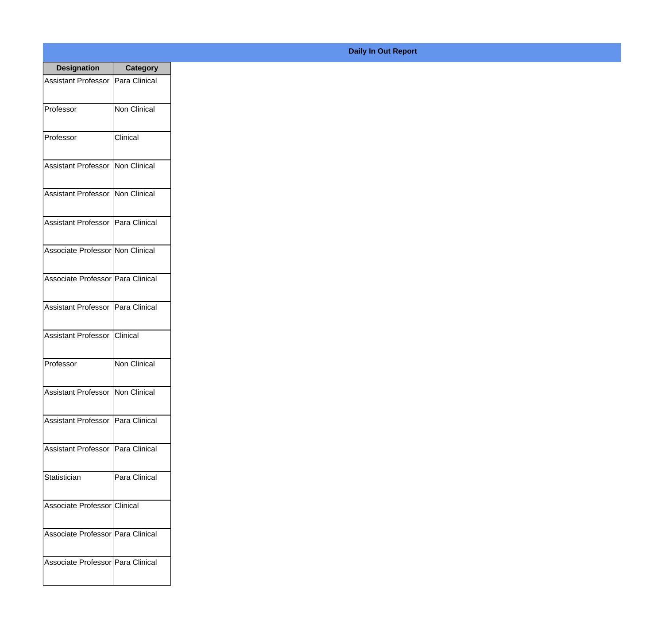| <b>Designation</b>                  | <b>Category</b>        |
|-------------------------------------|------------------------|
| <b>Assistant Professor</b>          | Para Clinical          |
| Professor                           | Non Clinical           |
| Professor                           | Clinical               |
| Assistant Professor                 | Non Clinical           |
| <b>Assistant Professor</b>          | Non Clinical           |
| Assistant Professor   Para Clinical |                        |
| Associate Professor Non Clinical    |                        |
| Associate Professor   Para Clinical |                        |
| Assistant Professor   Para Clinical |                        |
| <b>Assistant Professor</b>          | <i><b>Clinical</b></i> |
| Professor                           | Non Clinical           |
| Assistant Professor Non Clinical    |                        |
| Assistant Professor   Para Clinical |                        |
| Assistant Professor   Para Clinical |                        |
| Statistician                        | Para Clinical          |
| Associate Professor Clinical        |                        |
| Associate Professor   Para Clinical |                        |
| Associate Professor Para Clinical   |                        |

## **Daily In Out Report**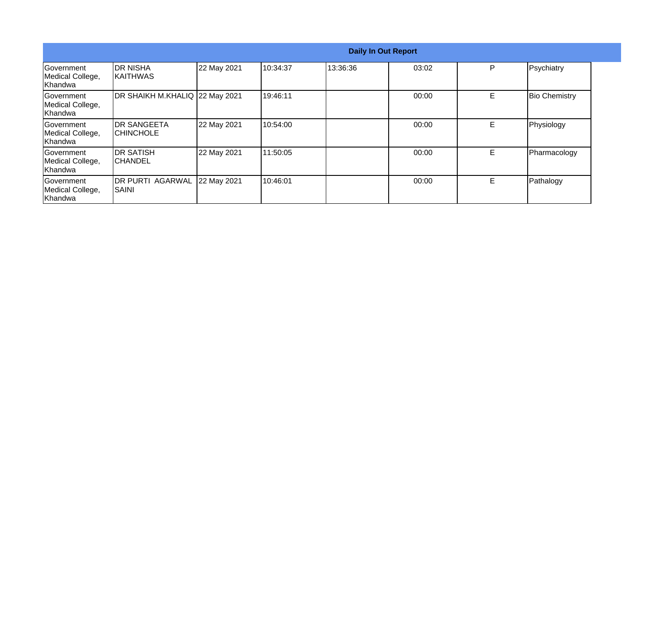|                                                         | <b>Daily In Out Report</b>        |             |          |          |       |   |                      |  |
|---------------------------------------------------------|-----------------------------------|-------------|----------|----------|-------|---|----------------------|--|
| <b>Sovernment</b><br>Medical College,<br><b>Khandwa</b> | IDR NISHA<br>IKAITHWAS            | 22 May 2021 | 10:34:37 | 13:36:36 | 03:02 | P | Psychiatry           |  |
| Government<br>Medical College,<br>Khandwa               | DR SHAIKH M.KHALIQ 22 May 2021    |             | 19:46:11 |          | 00:00 | E | <b>Bio Chemistry</b> |  |
| Government<br>Medical College,<br><b>Khandwa</b>        | IDR SANGEETA<br>ICHINCHOLE        | 22 May 2021 | 10:54:00 |          | 00:00 | E | Physiology           |  |
| Government<br>Medical College,<br>Khandwa               | <b>IDR SATISH</b><br>ICHANDEL     | 22 May 2021 | 11:50:05 |          | 00:00 | E | Pharmacology         |  |
| Government<br>Medical College,<br>Khandwa               | <b>DR PURTI AGARWAL</b><br>ISAINI | 22 May 2021 | 10:46:01 |          | 00:00 | E | Pathalogy            |  |